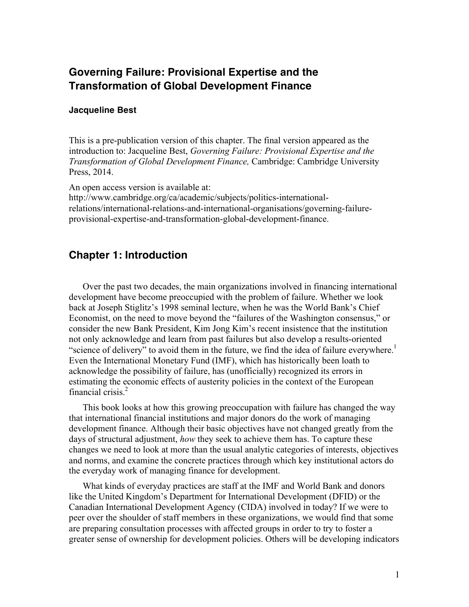# **Governing Failure: Provisional Expertise and the Transformation of Global Development Finance**

### **Jacqueline Best**

This is a pre-publication version of this chapter. The final version appeared as the introduction to: Jacqueline Best, *Governing Failure: Provisional Expertise and the Transformation of Global Development Finance,* Cambridge: Cambridge University Press, 2014.

An open access version is available at: http://www.cambridge.org/ca/academic/subjects/politics-internationalrelations/international-relations-and-international-organisations/governing-failureprovisional-expertise-and-transformation-global-development-finance.

# **Chapter 1: Introduction**

Over the past two decades, the main organizations involved in financing international development have become preoccupied with the problem of failure. Whether we look back at Joseph Stiglitz's 1998 seminal lecture, when he was the World Bank's Chief Economist, on the need to move beyond the "failures of the Washington consensus," or consider the new Bank President, Kim Jong Kim's recent insistence that the institution not only acknowledge and learn from past failures but also develop a results-oriented "science of delivery" to avoid them in the future, we find the idea of failure everywhere.<sup>1</sup> Even the International Monetary Fund (IMF), which has historically been loath to acknowledge the possibility of failure, has (unofficially) recognized its errors in estimating the economic effects of austerity policies in the context of the European financial crisis.2

This book looks at how this growing preoccupation with failure has changed the way that international financial institutions and major donors do the work of managing development finance. Although their basic objectives have not changed greatly from the days of structural adjustment, *how* they seek to achieve them has. To capture these changes we need to look at more than the usual analytic categories of interests, objectives and norms, and examine the concrete practices through which key institutional actors do the everyday work of managing finance for development.

What kinds of everyday practices are staff at the IMF and World Bank and donors like the United Kingdom's Department for International Development (DFID) or the Canadian International Development Agency (CIDA) involved in today? If we were to peer over the shoulder of staff members in these organizations, we would find that some are preparing consultation processes with affected groups in order to try to foster a greater sense of ownership for development policies. Others will be developing indicators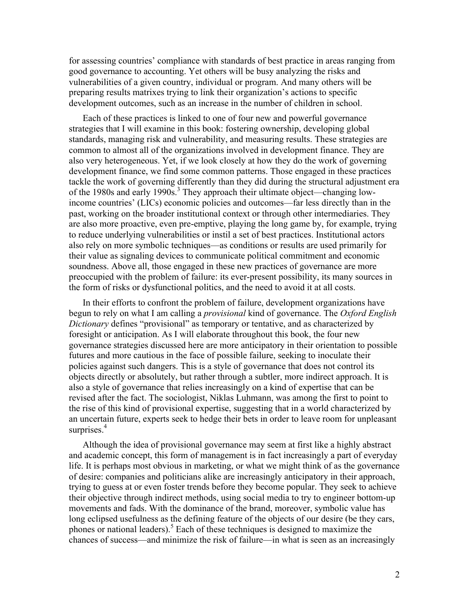for assessing countries' compliance with standards of best practice in areas ranging from good governance to accounting. Yet others will be busy analyzing the risks and vulnerabilities of a given country, individual or program. And many others will be preparing results matrixes trying to link their organization's actions to specific development outcomes, such as an increase in the number of children in school.

Each of these practices is linked to one of four new and powerful governance strategies that I will examine in this book: fostering ownership, developing global standards, managing risk and vulnerability, and measuring results. These strategies are common to almost all of the organizations involved in development finance. They are also very heterogeneous. Yet, if we look closely at how they do the work of governing development finance, we find some common patterns. Those engaged in these practices tackle the work of governing differently than they did during the structural adjustment era of the 1980s and early 1990s.<sup>3</sup> They approach their ultimate object—changing lowincome countries' (LICs) economic policies and outcomes—far less directly than in the past, working on the broader institutional context or through other intermediaries. They are also more proactive, even pre-emptive, playing the long game by, for example, trying to reduce underlying vulnerabilities or instil a set of best practices. Institutional actors also rely on more symbolic techniques—as conditions or results are used primarily for their value as signaling devices to communicate political commitment and economic soundness. Above all, those engaged in these new practices of governance are more preoccupied with the problem of failure: its ever-present possibility, its many sources in the form of risks or dysfunctional politics, and the need to avoid it at all costs.

In their efforts to confront the problem of failure, development organizations have begun to rely on what I am calling a *provisional* kind of governance. The *Oxford English Dictionary* defines "provisional" as temporary or tentative, and as characterized by foresight or anticipation. As I will elaborate throughout this book, the four new governance strategies discussed here are more anticipatory in their orientation to possible futures and more cautious in the face of possible failure, seeking to inoculate their policies against such dangers. This is a style of governance that does not control its objects directly or absolutely, but rather through a subtler, more indirect approach. It is also a style of governance that relies increasingly on a kind of expertise that can be revised after the fact. The sociologist, Niklas Luhmann, was among the first to point to the rise of this kind of provisional expertise, suggesting that in a world characterized by an uncertain future, experts seek to hedge their bets in order to leave room for unpleasant surprises.<sup>4</sup>

Although the idea of provisional governance may seem at first like a highly abstract and academic concept, this form of management is in fact increasingly a part of everyday life. It is perhaps most obvious in marketing, or what we might think of as the governance of desire: companies and politicians alike are increasingly anticipatory in their approach, trying to guess at or even foster trends before they become popular. They seek to achieve their objective through indirect methods, using social media to try to engineer bottom-up movements and fads. With the dominance of the brand, moreover, symbolic value has long eclipsed usefulness as the defining feature of the objects of our desire (be they cars, phones or national leaders).<sup>5</sup> Each of these techniques is designed to maximize the chances of success—and minimize the risk of failure—in what is seen as an increasingly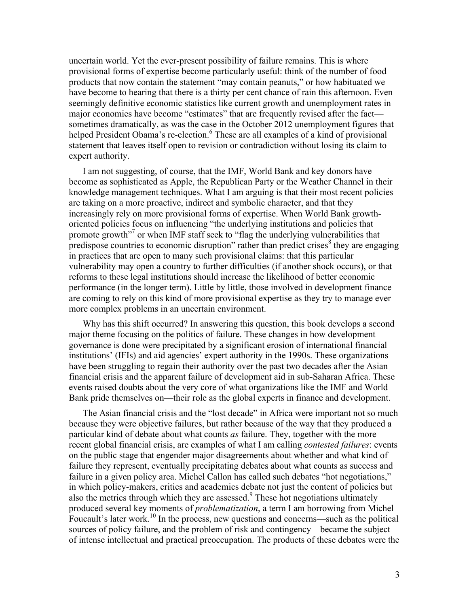uncertain world. Yet the ever-present possibility of failure remains. This is where provisional forms of expertise become particularly useful: think of the number of food products that now contain the statement "may contain peanuts," or how habituated we have become to hearing that there is a thirty per cent chance of rain this afternoon. Even seemingly definitive economic statistics like current growth and unemployment rates in major economies have become "estimates" that are frequently revised after the fact sometimes dramatically, as was the case in the October 2012 unemployment figures that helped President Obama's re-election.<sup>6</sup> These are all examples of a kind of provisional statement that leaves itself open to revision or contradiction without losing its claim to expert authority.

I am not suggesting, of course, that the IMF, World Bank and key donors have become as sophisticated as Apple, the Republican Party or the Weather Channel in their knowledge management techniques. What I am arguing is that their most recent policies are taking on a more proactive, indirect and symbolic character, and that they increasingly rely on more provisional forms of expertise. When World Bank growthoriented policies focus on influencing "the underlying institutions and policies that promote growth"<sup>7</sup> or when IMF staff seek to "flag the underlying vulnerabilities that predispose countries to economic disruption" rather than predict crises  $\delta$  they are engaging in practices that are open to many such provisional claims: that this particular vulnerability may open a country to further difficulties (if another shock occurs), or that reforms to these legal institutions should increase the likelihood of better economic performance (in the longer term). Little by little, those involved in development finance are coming to rely on this kind of more provisional expertise as they try to manage ever more complex problems in an uncertain environment.

Why has this shift occurred? In answering this question, this book develops a second major theme focusing on the politics of failure. These changes in how development governance is done were precipitated by a significant erosion of international financial institutions' (IFIs) and aid agencies' expert authority in the 1990s. These organizations have been struggling to regain their authority over the past two decades after the Asian financial crisis and the apparent failure of development aid in sub-Saharan Africa. These events raised doubts about the very core of what organizations like the IMF and World Bank pride themselves on—their role as the global experts in finance and development.

The Asian financial crisis and the "lost decade" in Africa were important not so much because they were objective failures, but rather because of the way that they produced a particular kind of debate about what counts *as* failure. They, together with the more recent global financial crisis, are examples of what I am calling *contested failures*: events on the public stage that engender major disagreements about whether and what kind of failure they represent, eventually precipitating debates about what counts as success and failure in a given policy area. Michel Callon has called such debates "hot negotiations," in which policy-makers, critics and academics debate not just the content of policies but also the metrics through which they are assessed. <sup>9</sup> These hot negotiations ultimately produced several key moments of *problematization*, a term I am borrowing from Michel Foucault's later work.<sup>10</sup> In the process, new questions and concerns—such as the political sources of policy failure, and the problem of risk and contingency—became the subject of intense intellectual and practical preoccupation. The products of these debates were the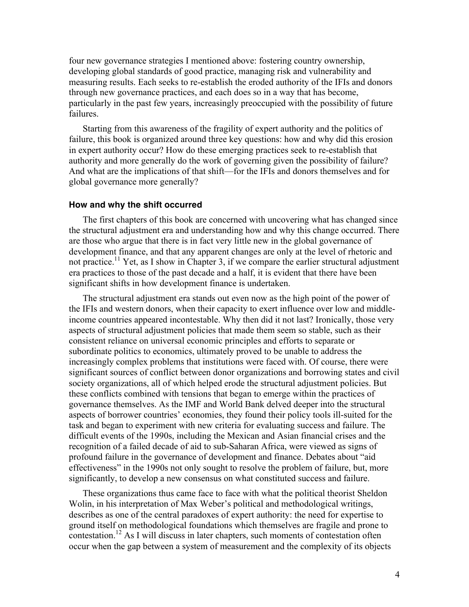four new governance strategies I mentioned above: fostering country ownership, developing global standards of good practice, managing risk and vulnerability and measuring results. Each seeks to re-establish the eroded authority of the IFIs and donors through new governance practices, and each does so in a way that has become, particularly in the past few years, increasingly preoccupied with the possibility of future failures.

Starting from this awareness of the fragility of expert authority and the politics of failure, this book is organized around three key questions: how and why did this erosion in expert authority occur? How do these emerging practices seek to re-establish that authority and more generally do the work of governing given the possibility of failure? And what are the implications of that shift—for the IFIs and donors themselves and for global governance more generally?

#### **How and why the shift occurred**

The first chapters of this book are concerned with uncovering what has changed since the structural adjustment era and understanding how and why this change occurred. There are those who argue that there is in fact very little new in the global governance of development finance, and that any apparent changes are only at the level of rhetoric and not practice.<sup>11</sup> Yet, as I show in Chapter 3, if we compare the earlier structural adjustment era practices to those of the past decade and a half, it is evident that there have been significant shifts in how development finance is undertaken.

The structural adjustment era stands out even now as the high point of the power of the IFIs and western donors, when their capacity to exert influence over low and middleincome countries appeared incontestable. Why then did it not last? Ironically, those very aspects of structural adjustment policies that made them seem so stable, such as their consistent reliance on universal economic principles and efforts to separate or subordinate politics to economics, ultimately proved to be unable to address the increasingly complex problems that institutions were faced with. Of course, there were significant sources of conflict between donor organizations and borrowing states and civil society organizations, all of which helped erode the structural adjustment policies. But these conflicts combined with tensions that began to emerge within the practices of governance themselves. As the IMF and World Bank delved deeper into the structural aspects of borrower countries' economies, they found their policy tools ill-suited for the task and began to experiment with new criteria for evaluating success and failure. The difficult events of the 1990s, including the Mexican and Asian financial crises and the recognition of a failed decade of aid to sub-Saharan Africa, were viewed as signs of profound failure in the governance of development and finance. Debates about "aid effectiveness" in the 1990s not only sought to resolve the problem of failure, but, more significantly, to develop a new consensus on what constituted success and failure.

These organizations thus came face to face with what the political theorist Sheldon Wolin, in his interpretation of Max Weber's political and methodological writings, describes as one of the central paradoxes of expert authority: the need for expertise to ground itself on methodological foundations which themselves are fragile and prone to contestation.<sup>12</sup> As I will discuss in later chapters, such moments of contestation often occur when the gap between a system of measurement and the complexity of its objects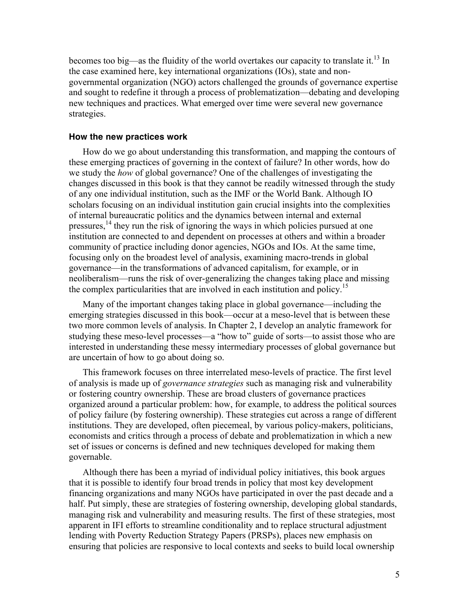becomes too big—as the fluidity of the world overtakes our capacity to translate it.<sup>13</sup> In the case examined here, key international organizations (IOs), state and nongovernmental organization (NGO) actors challenged the grounds of governance expertise and sought to redefine it through a process of problematization—debating and developing new techniques and practices. What emerged over time were several new governance strategies.

#### **How the new practices work**

How do we go about understanding this transformation, and mapping the contours of these emerging practices of governing in the context of failure? In other words, how do we study the *how* of global governance? One of the challenges of investigating the changes discussed in this book is that they cannot be readily witnessed through the study of any one individual institution, such as the IMF or the World Bank. Although IO scholars focusing on an individual institution gain crucial insights into the complexities of internal bureaucratic politics and the dynamics between internal and external pressures,<sup>14</sup> they run the risk of ignoring the ways in which policies pursued at one institution are connected to and dependent on processes at others and within a broader community of practice including donor agencies, NGOs and IOs. At the same time, focusing only on the broadest level of analysis, examining macro-trends in global governance—in the transformations of advanced capitalism, for example, or in neoliberalism—runs the risk of over-generalizing the changes taking place and missing the complex particularities that are involved in each institution and policy.<sup>15</sup>

Many of the important changes taking place in global governance—including the emerging strategies discussed in this book—occur at a meso-level that is between these two more common levels of analysis. In Chapter 2, I develop an analytic framework for studying these meso-level processes—a "how to" guide of sorts—to assist those who are interested in understanding these messy intermediary processes of global governance but are uncertain of how to go about doing so.

This framework focuses on three interrelated meso-levels of practice. The first level of analysis is made up of *governance strategies* such as managing risk and vulnerability or fostering country ownership. These are broad clusters of governance practices organized around a particular problem: how, for example, to address the political sources of policy failure (by fostering ownership). These strategies cut across a range of different institutions. They are developed, often piecemeal, by various policy-makers, politicians, economists and critics through a process of debate and problematization in which a new set of issues or concerns is defined and new techniques developed for making them governable.

Although there has been a myriad of individual policy initiatives, this book argues that it is possible to identify four broad trends in policy that most key development financing organizations and many NGOs have participated in over the past decade and a half. Put simply, these are strategies of fostering ownership, developing global standards, managing risk and vulnerability and measuring results. The first of these strategies, most apparent in IFI efforts to streamline conditionality and to replace structural adjustment lending with Poverty Reduction Strategy Papers (PRSPs), places new emphasis on ensuring that policies are responsive to local contexts and seeks to build local ownership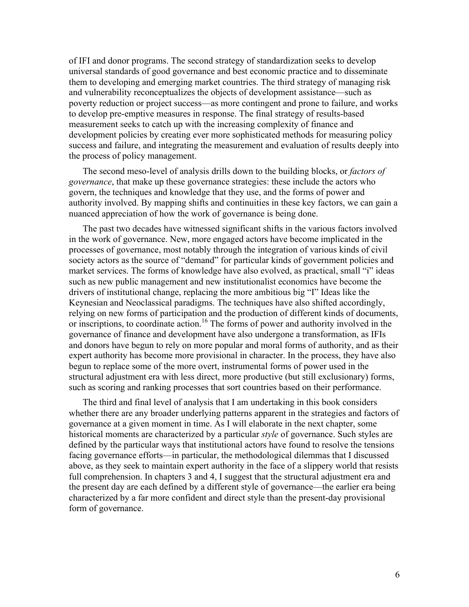of IFI and donor programs. The second strategy of standardization seeks to develop universal standards of good governance and best economic practice and to disseminate them to developing and emerging market countries. The third strategy of managing risk and vulnerability reconceptualizes the objects of development assistance—such as poverty reduction or project success—as more contingent and prone to failure, and works to develop pre-emptive measures in response. The final strategy of results-based measurement seeks to catch up with the increasing complexity of finance and development policies by creating ever more sophisticated methods for measuring policy success and failure, and integrating the measurement and evaluation of results deeply into the process of policy management.

The second meso-level of analysis drills down to the building blocks, or *factors of governance*, that make up these governance strategies: these include the actors who govern, the techniques and knowledge that they use, and the forms of power and authority involved. By mapping shifts and continuities in these key factors, we can gain a nuanced appreciation of how the work of governance is being done.

The past two decades have witnessed significant shifts in the various factors involved in the work of governance. New, more engaged actors have become implicated in the processes of governance, most notably through the integration of various kinds of civil society actors as the source of "demand" for particular kinds of government policies and market services. The forms of knowledge have also evolved, as practical, small "i" ideas such as new public management and new institutionalist economics have become the drivers of institutional change, replacing the more ambitious big "I" Ideas like the Keynesian and Neoclassical paradigms. The techniques have also shifted accordingly, relying on new forms of participation and the production of different kinds of documents, or inscriptions, to coordinate action.<sup>16</sup> The forms of power and authority involved in the governance of finance and development have also undergone a transformation, as IFIs and donors have begun to rely on more popular and moral forms of authority, and as their expert authority has become more provisional in character. In the process, they have also begun to replace some of the more overt, instrumental forms of power used in the structural adjustment era with less direct, more productive (but still exclusionary) forms, such as scoring and ranking processes that sort countries based on their performance.

The third and final level of analysis that I am undertaking in this book considers whether there are any broader underlying patterns apparent in the strategies and factors of governance at a given moment in time. As I will elaborate in the next chapter, some historical moments are characterized by a particular *style* of governance. Such styles are defined by the particular ways that institutional actors have found to resolve the tensions facing governance efforts—in particular, the methodological dilemmas that I discussed above, as they seek to maintain expert authority in the face of a slippery world that resists full comprehension. In chapters 3 and 4, I suggest that the structural adjustment era and the present day are each defined by a different style of governance—the earlier era being characterized by a far more confident and direct style than the present-day provisional form of governance.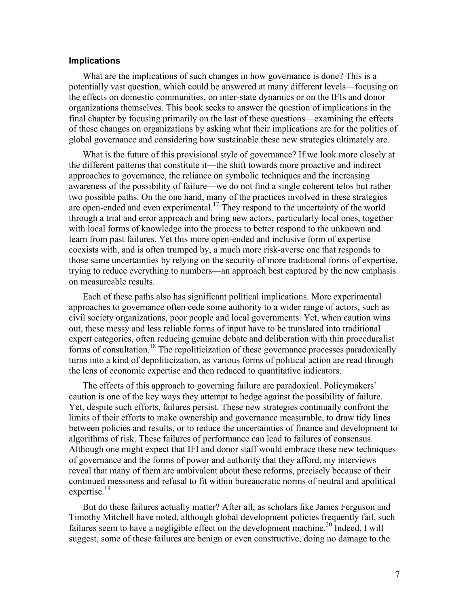#### **Implications**

What are the implications of such changes in how governance is done? This is a potentially vast question, which could be answered at many different levels—focusing on the effects on domestic communities, on inter-state dynamics or on the IFIs and donor organizations themselves. This book seeks to answer the question of implications in the final chapter by focusing primarily on the last of these questions—examining the effects of these changes on organizations by asking what their implications are for the politics of global governance and considering how sustainable these new strategies ultimately are.

What is the future of this provisional style of governance? If we look more closely at the different patterns that constitute it—the shift towards more proactive and indirect approaches to governance, the reliance on symbolic techniques and the increasing awareness of the possibility of failure—we do not find a single coherent telos but rather two possible paths. On the one hand, many of the practices involved in these strategies are open-ended and even experimental.<sup>17</sup> They respond to the uncertainty of the world through a trial and error approach and bring new actors, particularly local ones, together with local forms of knowledge into the process to better respond to the unknown and learn from past failures. Yet this more open-ended and inclusive form of expertise coexists with, and is often trumped by, a much more risk-averse one that responds to those same uncertainties by relying on the security of more traditional forms of expertise, trying to reduce everything to numbers—an approach best captured by the new emphasis on measureable results.

Each of these paths also has significant political implications. More experimental approaches to governance often cede some authority to a wider range of actors, such as civil society organizations, poor people and local governments. Yet, when caution wins out, these messy and less reliable forms of input have to be translated into traditional expert categories, often reducing genuine debate and deliberation with thin proceduralist forms of consultation.<sup>18</sup> The repoliticization of these governance processes paradoxically turns into a kind of depoliticization, as various forms of political action are read through the lens of economic expertise and then reduced to quantitative indicators.

The effects of this approach to governing failure are paradoxical. Policymakers' caution is one of the key ways they attempt to hedge against the possibility of failure. Yet, despite such efforts, failures persist. These new strategies continually confront the limits of their efforts to make ownership and governance measurable, to draw tidy lines between policies and results, or to reduce the uncertainties of finance and development to algorithms of risk. These failures of performance can lead to failures of consensus. Although one might expect that IFI and donor staff would embrace these new techniques of governance and the forms of power and authority that they afford, my interviews reveal that many of them are ambivalent about these reforms, precisely because of their continued messiness and refusal to fit within bureaucratic norms of neutral and apolitical expertise.<sup>19</sup>

But do these failures actually matter? After all, as scholars like James Ferguson and Timothy Mitchell have noted, although global development policies frequently fail, such failures seem to have a negligible effect on the development machine.<sup>20</sup> Indeed, I will suggest, some of these failures are benign or even constructive, doing no damage to the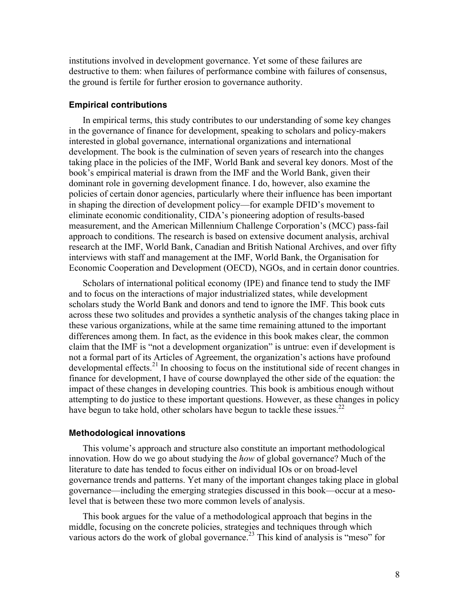institutions involved in development governance. Yet some of these failures are destructive to them: when failures of performance combine with failures of consensus, the ground is fertile for further erosion to governance authority.

#### **Empirical contributions**

In empirical terms, this study contributes to our understanding of some key changes in the governance of finance for development, speaking to scholars and policy-makers interested in global governance, international organizations and international development. The book is the culmination of seven years of research into the changes taking place in the policies of the IMF, World Bank and several key donors. Most of the book's empirical material is drawn from the IMF and the World Bank, given their dominant role in governing development finance. I do, however, also examine the policies of certain donor agencies, particularly where their influence has been important in shaping the direction of development policy—for example DFID's movement to eliminate economic conditionality, CIDA's pioneering adoption of results-based measurement, and the American Millennium Challenge Corporation's (MCC) pass-fail approach to conditions. The research is based on extensive document analysis, archival research at the IMF, World Bank, Canadian and British National Archives, and over fifty interviews with staff and management at the IMF, World Bank, the Organisation for Economic Cooperation and Development (OECD), NGOs, and in certain donor countries.

Scholars of international political economy (IPE) and finance tend to study the IMF and to focus on the interactions of major industrialized states, while development scholars study the World Bank and donors and tend to ignore the IMF. This book cuts across these two solitudes and provides a synthetic analysis of the changes taking place in these various organizations, while at the same time remaining attuned to the important differences among them. In fact, as the evidence in this book makes clear, the common claim that the IMF is "not a development organization" is untrue: even if development is not a formal part of its Articles of Agreement, the organization's actions have profound developmental effects.<sup>21</sup> In choosing to focus on the institutional side of recent changes in finance for development, I have of course downplayed the other side of the equation: the impact of these changes in developing countries. This book is ambitious enough without attempting to do justice to these important questions. However, as these changes in policy have begun to take hold, other scholars have begun to tackle these issues.<sup>22</sup>

## **Methodological innovations**

This volume's approach and structure also constitute an important methodological innovation. How do we go about studying the *how* of global governance? Much of the literature to date has tended to focus either on individual IOs or on broad-level governance trends and patterns. Yet many of the important changes taking place in global governance—including the emerging strategies discussed in this book—occur at a mesolevel that is between these two more common levels of analysis.

This book argues for the value of a methodological approach that begins in the middle, focusing on the concrete policies, strategies and techniques through which various actors do the work of global governance.<sup>23</sup> This kind of analysis is "meso" for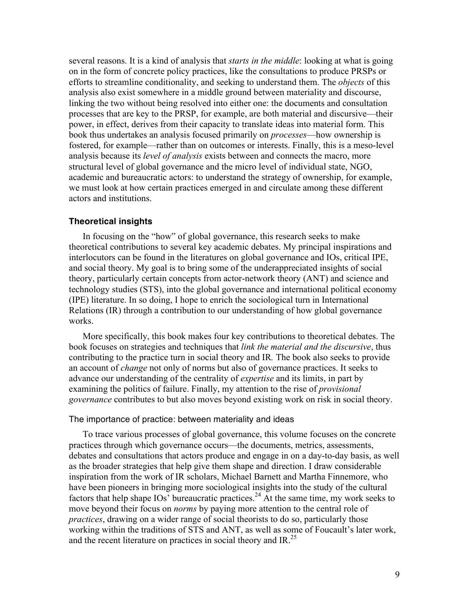several reasons. It is a kind of analysis that *starts in the middle*: looking at what is going on in the form of concrete policy practices, like the consultations to produce PRSPs or efforts to streamline conditionality, and seeking to understand them. The *objects* of this analysis also exist somewhere in a middle ground between materiality and discourse, linking the two without being resolved into either one: the documents and consultation processes that are key to the PRSP, for example, are both material and discursive—their power, in effect, derives from their capacity to translate ideas into material form. This book thus undertakes an analysis focused primarily on *processes*—how ownership is fostered, for example—rather than on outcomes or interests. Finally, this is a meso-level analysis because its *level of analysis* exists between and connects the macro, more structural level of global governance and the micro level of individual state, NGO, academic and bureaucratic actors: to understand the strategy of ownership, for example, we must look at how certain practices emerged in and circulate among these different actors and institutions.

#### **Theoretical insights**

In focusing on the "how" of global governance, this research seeks to make theoretical contributions to several key academic debates. My principal inspirations and interlocutors can be found in the literatures on global governance and IOs, critical IPE, and social theory. My goal is to bring some of the underappreciated insights of social theory, particularly certain concepts from actor-network theory (ANT) and science and technology studies (STS), into the global governance and international political economy (IPE) literature. In so doing, I hope to enrich the sociological turn in International Relations (IR) through a contribution to our understanding of how global governance works.

More specifically, this book makes four key contributions to theoretical debates. The book focuses on strategies and techniques that *link the material and the discursive*, thus contributing to the practice turn in social theory and IR*.* The book also seeks to provide an account of *change* not only of norms but also of governance practices. It seeks to advance our understanding of the centrality of *expertise* and its limits, in part by examining the politics of failure. Finally, my attention to the rise of *provisional governance* contributes to but also moves beyond existing work on risk in social theory.

#### The importance of practice: between materiality and ideas

To trace various processes of global governance, this volume focuses on the concrete practices through which governance occurs—the documents, metrics, assessments, debates and consultations that actors produce and engage in on a day-to-day basis, as well as the broader strategies that help give them shape and direction. I draw considerable inspiration from the work of IR scholars, Michael Barnett and Martha Finnemore, who have been pioneers in bringing more sociological insights into the study of the cultural factors that help shape IOs' bureaucratic practices. <sup>24</sup> At the same time, my work seeks to move beyond their focus on *norms* by paying more attention to the central role of *practices*, drawing on a wider range of social theorists to do so, particularly those working within the traditions of STS and ANT, as well as some of Foucault's later work, and the recent literature on practices in social theory and IR.<sup>25</sup>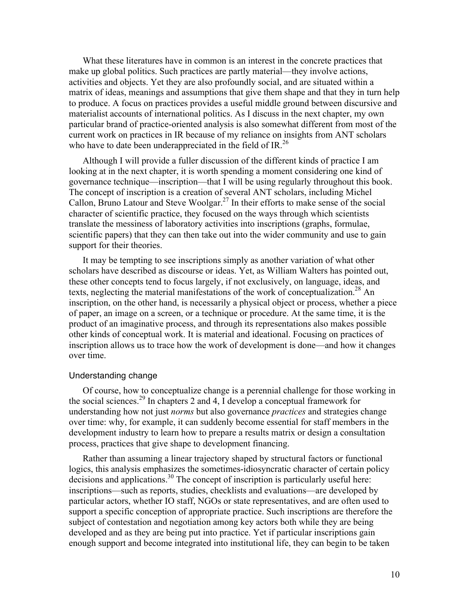What these literatures have in common is an interest in the concrete practices that make up global politics. Such practices are partly material—they involve actions, activities and objects. Yet they are also profoundly social, and are situated within a matrix of ideas, meanings and assumptions that give them shape and that they in turn help to produce. A focus on practices provides a useful middle ground between discursive and materialist accounts of international politics. As I discuss in the next chapter, my own particular brand of practice-oriented analysis is also somewhat different from most of the current work on practices in IR because of my reliance on insights from ANT scholars who have to date been underappreciated in the field of IR.<sup>26</sup>

Although I will provide a fuller discussion of the different kinds of practice I am looking at in the next chapter, it is worth spending a moment considering one kind of governance technique—inscription—that I will be using regularly throughout this book. The concept of inscription is a creation of several ANT scholars, including Michel Callon, Bruno Latour and Steve Woolgar.<sup>27</sup> In their efforts to make sense of the social character of scientific practice, they focused on the ways through which scientists translate the messiness of laboratory activities into inscriptions (graphs, formulae, scientific papers) that they can then take out into the wider community and use to gain support for their theories.

It may be tempting to see inscriptions simply as another variation of what other scholars have described as discourse or ideas. Yet, as William Walters has pointed out, these other concepts tend to focus largely, if not exclusively, on language, ideas, and texts, neglecting the material manifestations of the work of conceptualization.<sup>28</sup> An inscription, on the other hand, is necessarily a physical object or process, whether a piece of paper, an image on a screen, or a technique or procedure. At the same time, it is the product of an imaginative process, and through its representations also makes possible other kinds of conceptual work. It is material and ideational. Focusing on practices of inscription allows us to trace how the work of development is done—and how it changes over time.

#### Understanding change

Of course, how to conceptualize change is a perennial challenge for those working in the social sciences.<sup>29</sup> In chapters 2 and 4, I develop a conceptual framework for understanding how not just *norms* but also governance *practices* and strategies change over time: why, for example, it can suddenly become essential for staff members in the development industry to learn how to prepare a results matrix or design a consultation process, practices that give shape to development financing.

Rather than assuming a linear trajectory shaped by structural factors or functional logics, this analysis emphasizes the sometimes-idiosyncratic character of certain policy decisions and applications.<sup>30</sup> The concept of inscription is particularly useful here: inscriptions—such as reports, studies, checklists and evaluations—are developed by particular actors, whether IO staff, NGOs or state representatives, and are often used to support a specific conception of appropriate practice. Such inscriptions are therefore the subject of contestation and negotiation among key actors both while they are being developed and as they are being put into practice. Yet if particular inscriptions gain enough support and become integrated into institutional life, they can begin to be taken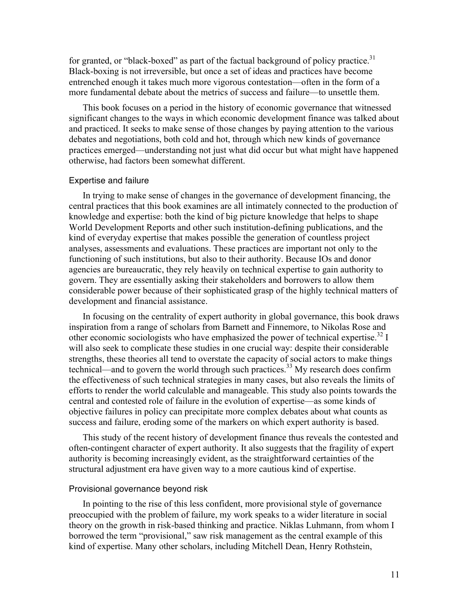for granted, or "black-boxed" as part of the factual background of policy practice.<sup>31</sup> Black-boxing is not irreversible, but once a set of ideas and practices have become entrenched enough it takes much more vigorous contestation—often in the form of a more fundamental debate about the metrics of success and failure—to unsettle them.

This book focuses on a period in the history of economic governance that witnessed significant changes to the ways in which economic development finance was talked about and practiced. It seeks to make sense of those changes by paying attention to the various debates and negotiations, both cold and hot, through which new kinds of governance practices emerged—understanding not just what did occur but what might have happened otherwise, had factors been somewhat different.

#### Expertise and failure

In trying to make sense of changes in the governance of development financing, the central practices that this book examines are all intimately connected to the production of knowledge and expertise: both the kind of big picture knowledge that helps to shape World Development Reports and other such institution-defining publications, and the kind of everyday expertise that makes possible the generation of countless project analyses, assessments and evaluations. These practices are important not only to the functioning of such institutions, but also to their authority. Because IOs and donor agencies are bureaucratic, they rely heavily on technical expertise to gain authority to govern. They are essentially asking their stakeholders and borrowers to allow them considerable power because of their sophisticated grasp of the highly technical matters of development and financial assistance.

In focusing on the centrality of expert authority in global governance, this book draws inspiration from a range of scholars from Barnett and Finnemore, to Nikolas Rose and other economic sociologists who have emphasized the power of technical expertise.<sup>32</sup> I will also seek to complicate these studies in one crucial way: despite their considerable strengths, these theories all tend to overstate the capacity of social actors to make things technical—and to govern the world through such practices.<sup>33</sup> My research does confirm the effectiveness of such technical strategies in many cases, but also reveals the limits of efforts to render the world calculable and manageable. This study also points towards the central and contested role of failure in the evolution of expertise—as some kinds of objective failures in policy can precipitate more complex debates about what counts as success and failure, eroding some of the markers on which expert authority is based.

This study of the recent history of development finance thus reveals the contested and often-contingent character of expert authority. It also suggests that the fragility of expert authority is becoming increasingly evident, as the straightforward certainties of the structural adjustment era have given way to a more cautious kind of expertise.

#### Provisional governance beyond risk

In pointing to the rise of this less confident, more provisional style of governance preoccupied with the problem of failure, my work speaks to a wider literature in social theory on the growth in risk-based thinking and practice. Niklas Luhmann, from whom I borrowed the term "provisional," saw risk management as the central example of this kind of expertise. Many other scholars, including Mitchell Dean, Henry Rothstein,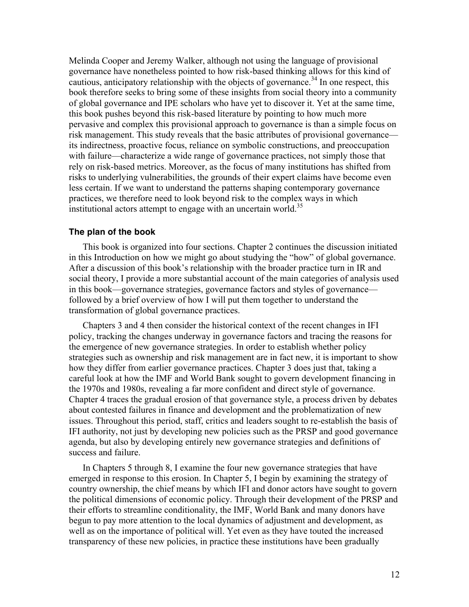Melinda Cooper and Jeremy Walker, although not using the language of provisional governance have nonetheless pointed to how risk-based thinking allows for this kind of cautious, anticipatory relationship with the objects of governance.<sup>34</sup> In one respect, this book therefore seeks to bring some of these insights from social theory into a community of global governance and IPE scholars who have yet to discover it. Yet at the same time, this book pushes beyond this risk-based literature by pointing to how much more pervasive and complex this provisional approach to governance is than a simple focus on risk management. This study reveals that the basic attributes of provisional governance its indirectness, proactive focus, reliance on symbolic constructions, and preoccupation with failure—characterize a wide range of governance practices, not simply those that rely on risk-based metrics. Moreover, as the focus of many institutions has shifted from risks to underlying vulnerabilities, the grounds of their expert claims have become even less certain. If we want to understand the patterns shaping contemporary governance practices, we therefore need to look beyond risk to the complex ways in which institutional actors attempt to engage with an uncertain world.<sup>35</sup>

#### **The plan of the book**

This book is organized into four sections. Chapter 2 continues the discussion initiated in this Introduction on how we might go about studying the "how" of global governance. After a discussion of this book's relationship with the broader practice turn in IR and social theory, I provide a more substantial account of the main categories of analysis used in this book—governance strategies, governance factors and styles of governance followed by a brief overview of how I will put them together to understand the transformation of global governance practices.

Chapters 3 and 4 then consider the historical context of the recent changes in IFI policy, tracking the changes underway in governance factors and tracing the reasons for the emergence of new governance strategies. In order to establish whether policy strategies such as ownership and risk management are in fact new, it is important to show how they differ from earlier governance practices. Chapter 3 does just that, taking a careful look at how the IMF and World Bank sought to govern development financing in the 1970s and 1980s, revealing a far more confident and direct style of governance. Chapter 4 traces the gradual erosion of that governance style, a process driven by debates about contested failures in finance and development and the problematization of new issues. Throughout this period, staff, critics and leaders sought to re-establish the basis of IFI authority, not just by developing new policies such as the PRSP and good governance agenda, but also by developing entirely new governance strategies and definitions of success and failure.

In Chapters 5 through 8, I examine the four new governance strategies that have emerged in response to this erosion. In Chapter 5, I begin by examining the strategy of country ownership, the chief means by which IFI and donor actors have sought to govern the political dimensions of economic policy. Through their development of the PRSP and their efforts to streamline conditionality, the IMF, World Bank and many donors have begun to pay more attention to the local dynamics of adjustment and development, as well as on the importance of political will. Yet even as they have touted the increased transparency of these new policies, in practice these institutions have been gradually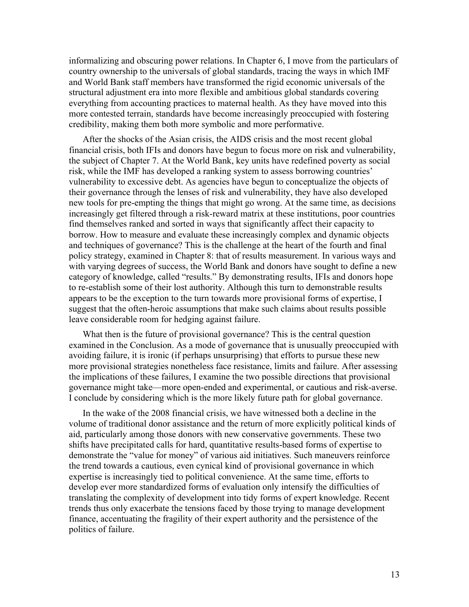informalizing and obscuring power relations. In Chapter 6, I move from the particulars of country ownership to the universals of global standards, tracing the ways in which IMF and World Bank staff members have transformed the rigid economic universals of the structural adjustment era into more flexible and ambitious global standards covering everything from accounting practices to maternal health. As they have moved into this more contested terrain, standards have become increasingly preoccupied with fostering credibility, making them both more symbolic and more performative.

After the shocks of the Asian crisis, the AIDS crisis and the most recent global financial crisis, both IFIs and donors have begun to focus more on risk and vulnerability, the subject of Chapter 7. At the World Bank, key units have redefined poverty as social risk, while the IMF has developed a ranking system to assess borrowing countries' vulnerability to excessive debt. As agencies have begun to conceptualize the objects of their governance through the lenses of risk and vulnerability, they have also developed new tools for pre-empting the things that might go wrong. At the same time, as decisions increasingly get filtered through a risk-reward matrix at these institutions, poor countries find themselves ranked and sorted in ways that significantly affect their capacity to borrow. How to measure and evaluate these increasingly complex and dynamic objects and techniques of governance? This is the challenge at the heart of the fourth and final policy strategy, examined in Chapter 8: that of results measurement. In various ways and with varying degrees of success, the World Bank and donors have sought to define a new category of knowledge, called "results." By demonstrating results, IFIs and donors hope to re-establish some of their lost authority. Although this turn to demonstrable results appears to be the exception to the turn towards more provisional forms of expertise, I suggest that the often-heroic assumptions that make such claims about results possible leave considerable room for hedging against failure.

What then is the future of provisional governance? This is the central question examined in the Conclusion. As a mode of governance that is unusually preoccupied with avoiding failure, it is ironic (if perhaps unsurprising) that efforts to pursue these new more provisional strategies nonetheless face resistance, limits and failure. After assessing the implications of these failures, I examine the two possible directions that provisional governance might take—more open-ended and experimental, or cautious and risk-averse. I conclude by considering which is the more likely future path for global governance.

In the wake of the 2008 financial crisis, we have witnessed both a decline in the volume of traditional donor assistance and the return of more explicitly political kinds of aid, particularly among those donors with new conservative governments. These two shifts have precipitated calls for hard, quantitative results-based forms of expertise to demonstrate the "value for money" of various aid initiatives. Such maneuvers reinforce the trend towards a cautious, even cynical kind of provisional governance in which expertise is increasingly tied to political convenience. At the same time, efforts to develop ever more standardized forms of evaluation only intensify the difficulties of translating the complexity of development into tidy forms of expert knowledge. Recent trends thus only exacerbate the tensions faced by those trying to manage development finance, accentuating the fragility of their expert authority and the persistence of the politics of failure.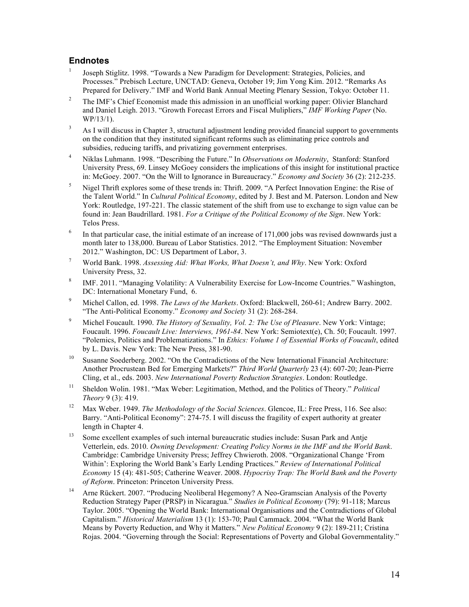# **Endnotes**

- <sup>1</sup> Joseph Stiglitz. 1998. "Towards a New Paradigm for Development: Strategies, Policies, and Processes." Prebisch Lecture, UNCTAD: Geneva, October 19; Jim Yong Kim. 2012. "Remarks As Prepared for Delivery." IMF and World Bank Annual Meeting Plenary Session, Tokyo: October 11.
- <sup>2</sup> The IMF's Chief Economist made this admission in an unofficial working paper: Olivier Blanchard and Daniel Leigh. 2013. "Growth Forecast Errors and Fiscal Mulipliers," *IMF Working Paper* (No. WP/13/1).
- <sup>3</sup> As I will discuss in Chapter 3, structural adjustment lending provided financial support to governments on the condition that they instituted significant reforms such as eliminating price controls and subsidies, reducing tariffs, and privatizing government enterprises.
- <sup>4</sup> Niklas Luhmann. 1998. "Describing the Future." In *Observations on Modernity*, Stanford: Stanford University Press, 69. Linsey McGoey considers the implications of this insight for institutional practice in: McGoey. 2007. "On the Will to Ignorance in Bureaucracy." *Economy and Society* 36 (2): 212-235.
- <sup>5</sup> Nigel Thrift explores some of these trends in: Thrift. 2009. "A Perfect Innovation Engine: the Rise of the Talent World." In *Cultural Political Economy*, edited by J. Best and M. Paterson. London and New York: Routledge, 197-221. The classic statement of the shift from use to exchange to sign value can be found in: Jean Baudrillard. 1981. *For a Critique of the Political Economy of the Sign*. New York: Telos Press.
- <sup>6</sup> In that particular case, the initial estimate of an increase of  $171,000$  jobs was revised downwards just a month later to 138,000. Bureau of Labor Statistics. 2012. "The Employment Situation: November 2012." Washington, DC: US Department of Labor, 3.
- <sup>7</sup> World Bank. 1998. *Assessing Aid: What Works, What Doesn't, and Why*. New York: Oxford University Press, 32.
- <sup>8</sup> IMF. 2011. "Managing Volatility: A Vulnerability Exercise for Low-Income Countries." Washington, DC: International Monetary Fund, 6.
- <sup>9</sup> Michel Callon, ed. 1998. *The Laws of the Markets*. Oxford: Blackwell, 260-61; Andrew Barry. 2002. "The Anti-Political Economy." *Economy and Society* 31 (2): 268-284.
- <sup>9</sup> Michel Foucault. 1990. *The History of Sexuality, Vol. 2: The Use of Pleasure*. New York: Vintage; Foucault. 1996. *Foucault Live: Interviews, 1961-84*. New York: Semiotext(e), Ch. 50; Foucault. 1997. "Polemics, Politics and Problematizations." In *Ethics: Volume 1 of Essential Works of Foucault*, edited by L. Davis. New York: The New Press, 381-90.
- <sup>10</sup> Susanne Soederberg. 2002. "On the Contradictions of the New International Financial Architecture: Another Procrustean Bed for Emerging Markets?" *Third World Quarterly* 23 (4): 607-20; Jean-Pierre Cling, et al., eds. 2003. *New International Poverty Reduction Strategies*. London: Routledge.
- <sup>11</sup> Sheldon Wolin. 1981. "Max Weber: Legitimation, Method, and the Politics of Theory." *Political Theory* 9 (3): 419.
- <sup>12</sup> Max Weber. 1949. *The Methodology of the Social Sciences*. Glencoe, IL: Free Press, 116. See also: Barry. "Anti-Political Economy": 274-75. I will discuss the fragility of expert authority at greater length in Chapter 4.
- <sup>13</sup> Some excellent examples of such internal bureaucratic studies include: Susan Park and Antje Vetterlein, eds. 2010. *Owning Development: Creating Policy Norms in the IMF and the World Bank*. Cambridge: Cambridge University Press; Jeffrey Chwieroth. 2008. "Organizational Change 'From Within': Exploring the World Bank's Early Lending Practices." *Review of International Political Economy* 15 (4): 481-505; Catherine Weaver. 2008. *Hypocrisy Trap: The World Bank and the Poverty of Reform*. Princeton: Princeton University Press.
- <sup>14</sup> Arne Rückert. 2007. "Producing Neoliberal Hegemony? A Neo-Gramscian Analysis of the Poverty Reduction Strategy Paper (PRSP) in Nicaragua." *Studies in Political Economy* (79): 91-118; Marcus Taylor. 2005. "Opening the World Bank: International Organisations and the Contradictions of Global Capitalism." *Historical Materialism* 13 (1): 153-70; Paul Cammack. 2004. "What the World Bank Means by Poverty Reduction, and Why it Matters." *New Political Economy* 9 (2): 189-211; Cristina Rojas. 2004. "Governing through the Social: Representations of Poverty and Global Governmentality."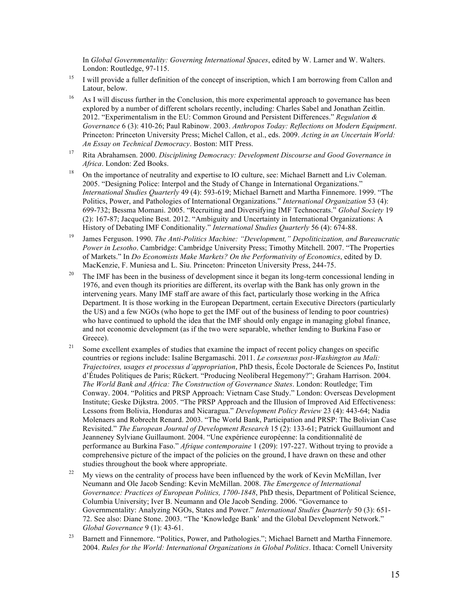In *Global Governmentality: Governing International Spaces*, edited by W. Larner and W. Walters. London: Routledge, 97-115.

- <sup>15</sup> I will provide a fuller definition of the concept of inscription, which I am borrowing from Callon and Latour, below.
- <sup>16</sup> As I will discuss further in the Conclusion, this more experimental approach to governance has been explored by a number of different scholars recently, including: Charles Sabel and Jonathan Zeitlin. 2012. "Experimentalism in the EU: Common Ground and Persistent Differences." *Regulation & Governance* 6 (3): 410-26; Paul Rabinow. 2003. *Anthropos Today: Reflections on Modern Equipment*. Princeton: Princeton University Press; Michel Callon, et al., eds. 2009. *Acting in an Uncertain World: An Essay on Technical Democracy*. Boston: MIT Press.
- <sup>17</sup> Rita Abrahamsen. 2000. *Disciplining Democracy: Development Discourse and Good Governance in Africa*. London: Zed Books.
- <sup>18</sup> On the importance of neutrality and expertise to IO culture, see: Michael Barnett and Liv Coleman. 2005. "Designing Police: Interpol and the Study of Change in International Organizations." *International Studies Quarterly* 49 (4): 593-619; Michael Barnett and Martha Finnemore. 1999. "The Politics, Power, and Pathologies of International Organizations." *International Organization* 53 (4): 699-732; Bessma Momani. 2005. "Recruiting and Diversifying IMF Technocrats." *Global Society* 19 (2): 167-87; Jacqueline Best. 2012. "Ambiguity and Uncertainty in International Organizations: A History of Debating IMF Conditionality." *International Studies Quarterly* 56 (4): 674-88.
- <sup>19</sup> James Ferguson. 1990. *The Anti-Politics Machine: "Development," Depoliticization, and Bureaucratic Power in Lesotho*. Cambridge: Cambridge University Press; Timothy Mitchell. 2007. "The Properties of Markets." In *Do Economists Make Markets? On the Performativity of Economics*, edited by D. MacKenzie, F. Muniesa and L. Siu. Princeton: Princeton University Press, 244-75.
- <sup>20</sup> The IMF has been in the business of development since it began its long-term concessional lending in 1976, and even though its priorities are different, its overlap with the Bank has only grown in the intervening years. Many IMF staff are aware of this fact, particularly those working in the Africa Department. It is those working in the European Department, certain Executive Directors (particularly the US) and a few NGOs (who hope to get the IMF out of the business of lending to poor countries) who have continued to uphold the idea that the IMF should only engage in managing global finance, and not economic development (as if the two were separable, whether lending to Burkina Faso or Greece).
- <sup>21</sup> Some excellent examples of studies that examine the impact of recent policy changes on specific countries or regions include: Isaline Bergamaschi. 2011. *Le consensus post-Washington au Mali: Trajectoires, usages et processus d'appropriation*, PhD thesis, École Doctorale de Sciences Po, Institut d'Études Politiques de Paris; Rückert. "Producing Neoliberal Hegemony?"; Graham Harrison. 2004. *The World Bank and Africa: The Construction of Governance States*. London: Routledge; Tim Conway. 2004. "Politics and PRSP Approach: Vietnam Case Study." London: Overseas Development Institute; Geske Dijkstra. 2005. "The PRSP Approach and the Illusion of Improved Aid Effectiveness: Lessons from Bolivia, Honduras and Nicaragua." *Development Policy Review* 23 (4): 443-64; Nadia Molenaers and Robrecht Renard. 2003. "The World Bank, Participation and PRSP: The Bolivian Case Revisited." *The European Journal of Development Research* 15 (2): 133-61; Patrick Guillaumont and Jeanneney Sylviane Guillaumont. 2004. "Une expérience européenne: la conditionnalité de performance au Burkina Faso." *Afrique contemporaine* 1 (209): 197-227. Without trying to provide a comprehensive picture of the impact of the policies on the ground, I have drawn on these and other studies throughout the book where appropriate.
- $22$  My views on the centrality of process have been influenced by the work of Kevin McMillan, Iver Neumann and Ole Jacob Sending: Kevin McMillan. 2008. *The Emergence of International Governance: Practices of European Politics, 1700-1848*, PhD thesis, Department of Political Science, Columbia University; Iver B. Neumann and Ole Jacob Sending. 2006. "Governance to Governmentality: Analyzing NGOs, States and Power." *International Studies Quarterly* 50 (3): 651- 72. See also: Diane Stone. 2003. "The 'Knowledge Bank' and the Global Development Network." *Global Governance* 9 (1): 43-61.
- <sup>23</sup> Barnett and Finnemore. "Politics, Power, and Pathologies."; Michael Barnett and Martha Finnemore. 2004. *Rules for the World: International Organizations in Global Politics*. Ithaca: Cornell University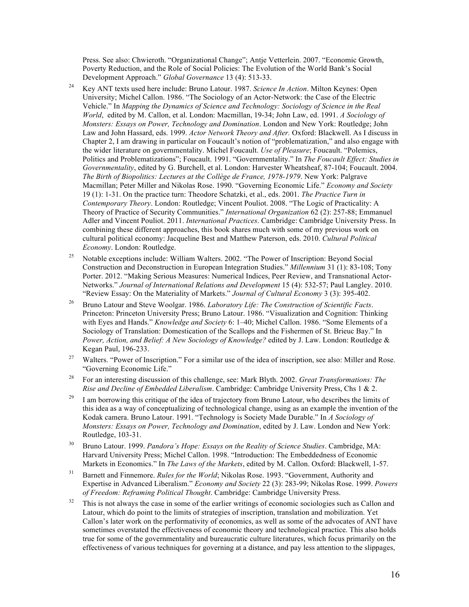Press. See also: Chwieroth. "Organizational Change"; Antje Vetterlein. 2007. "Economic Growth, Poverty Reduction, and the Role of Social Policies: The Evolution of the World Bank's Social Development Approach." *Global Governance* 13 (4): 513-33.

- <sup>24</sup> Key ANT texts used here include: Bruno Latour. 1987. *Science In Action*. Milton Keynes: Open University; Michel Callon. 1986. "The Sociology of an Actor-Network: the Case of the Electric Vehicle." In *Mapping the Dynamics of Science and Technology: Sociology of Science in the Real World*, edited by M. Callon, et al. London: Macmillan, 19-34; John Law, ed. 1991. *A Sociology of Monsters: Essays on Power, Technology and Domination*. London and New York: Routledge; John Law and John Hassard, eds. 1999. *Actor Network Theory and After.* Oxford: Blackwell. As I discuss in Chapter 2, I am drawing in particular on Foucault's notion of "problematization," and also engage with the wider literature on governmentality. Michel Foucault. *Use of Pleasure*; Foucault. "Polemics, Politics and Problematizations"; Foucault. 1991. "Governmentality." In *The Foucault Effect: Studies in Governmentality*, edited by G. Burchell, et al. London: Harvester Wheatsheaf, 87-104; Foucault. 2004. *The Birth of Biopolitics: Lectures at the Collège de France, 1978-1979*. New York: Palgrave Macmillan; Peter Miller and Nikolas Rose. 1990. "Governing Economic Life." *Economy and Society* 19 (1): 1-31. On the practice turn: Theodore Schatzki, et al., eds. 2001. *The Practice Turn in Contemporary Theory*. London: Routledge; Vincent Pouliot. 2008. "The Logic of Practicality: A Theory of Practice of Security Communities." *International Organization* 62 (2): 257-88; Emmanuel Adler and Vincent Pouliot. 2011. *International Practices*. Cambridge: Cambridge University Press. In combining these different approaches, this book shares much with some of my previous work on cultural political economy: Jacqueline Best and Matthew Paterson, eds. 2010. *Cultural Political Economy*. London: Routledge.
- <sup>25</sup> Notable exceptions include: William Walters. 2002. "The Power of Inscription: Beyond Social Construction and Deconstruction in European Integration Studies." *Millennium* 31 (1): 83-108; Tony Porter. 2012. "Making Serious Measures: Numerical Indices, Peer Review, and Transnational Actor-Networks." *Journal of International Relations and Development* 15 (4): 532-57; Paul Langley. 2010. "Review Essay: On the Materiality of Markets." *Journal of Cultural Economy* 3 (3): 395-402.
- <sup>26</sup> Bruno Latour and Steve Woolgar. 1986. *Laboratory Life: The Construction of Scientific Facts*. Princeton: Princeton University Press; Bruno Latour. 1986. "Visualization and Cognition: Thinking with Eyes and Hands." *Knowledge and Society* 6: 1–40; Michel Callon. 1986. "Some Elements of a Sociology of Translation: Domestication of the Scallops and the Fishermen of St. Brieuc Bay." In *Power, Action, and Belief: A New Sociology of Knowledge?* edited by J. Law. London: Routledge & Kegan Paul, 196-233.
- <sup>27</sup> Walters. "Power of Inscription." For a similar use of the idea of inscription, see also: Miller and Rose. "Governing Economic Life."
- <sup>28</sup> For an interesting discussion of this challenge, see: Mark Blyth. 2002. *Great Transformations: The Rise and Decline of Embedded Liberalism*. Cambridge: Cambridge University Press, Chs 1 & 2.
- <sup>29</sup> I am borrowing this critique of the idea of trajectory from Bruno Latour, who describes the limits of this idea as a way of conceptualizing of technological change, using as an example the invention of the Kodak camera. Bruno Latour. 1991. "Technology is Society Made Durable." In *A Sociology of Monsters: Essays on Power, Technology and Domination*, edited by J. Law. London and New York: Routledge, 103-31.
- <sup>30</sup> Bruno Latour. 1999. *Pandora's Hope: Essays on the Reality of Science Studies*. Cambridge, MA: Harvard University Press; Michel Callon. 1998. "Introduction: The Embeddedness of Economic Markets in Economics." In *The Laws of the Markets*, edited by M. Callon. Oxford: Blackwell, 1-57.
- <sup>31</sup> Barnett and Finnemore. *Rules for the World*; Nikolas Rose. 1993. "Government, Authority and Expertise in Advanced Liberalism." *Economy and Society* 22 (3): 283-99; Nikolas Rose. 1999. *Powers of Freedom: Reframing Political Thought*. Cambridge: Cambridge University Press.
- $32$  This is not always the case in some of the earlier writings of economic sociologies such as Callon and Latour, which do point to the limits of strategies of inscription, translation and mobilization. Yet Callon's later work on the performativity of economics, as well as some of the advocates of ANT have sometimes overstated the effectiveness of economic theory and technological practice. This also holds true for some of the governmentality and bureaucratic culture literatures, which focus primarily on the effectiveness of various techniques for governing at a distance, and pay less attention to the slippages,